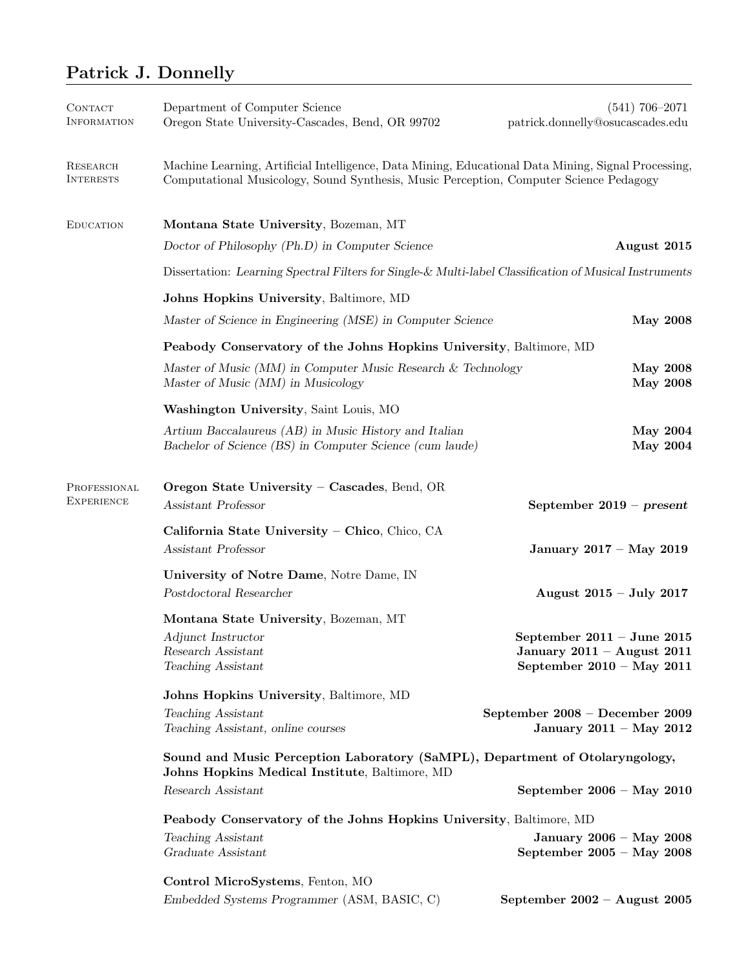## Patrick J. Donnelly

| CONTACT<br><b>INFORMATION</b>       | Department of Computer Science<br>Oregon State University-Cascades, Bend, OR 99702                                                                                                            | $(541)$ 706-2071<br>patrick.donnelly@osucascades.edu                                            |  |  |  |
|-------------------------------------|-----------------------------------------------------------------------------------------------------------------------------------------------------------------------------------------------|-------------------------------------------------------------------------------------------------|--|--|--|
| <b>RESEARCH</b><br><b>INTERESTS</b> | Machine Learning, Artificial Intelligence, Data Mining, Educational Data Mining, Signal Processing,<br>Computational Musicology, Sound Synthesis, Music Perception, Computer Science Pedagogy |                                                                                                 |  |  |  |
| <b>EDUCATION</b>                    | Montana State University, Bozeman, MT                                                                                                                                                         |                                                                                                 |  |  |  |
|                                     | Doctor of Philosophy (Ph.D) in Computer Science                                                                                                                                               | August 2015                                                                                     |  |  |  |
|                                     | Dissertation: Learning Spectral Filters for Single-& Multi-label Classification of Musical Instruments                                                                                        |                                                                                                 |  |  |  |
|                                     | Johns Hopkins University, Baltimore, MD                                                                                                                                                       |                                                                                                 |  |  |  |
|                                     | Master of Science in Engineering (MSE) in Computer Science                                                                                                                                    | <b>May 2008</b>                                                                                 |  |  |  |
|                                     | Peabody Conservatory of the Johns Hopkins University, Baltimore, MD                                                                                                                           |                                                                                                 |  |  |  |
|                                     | Master of Music (MM) in Computer Music Research & Technology<br>Master of Music (MM) in Musicology                                                                                            | <b>May 2008</b><br><b>May 2008</b>                                                              |  |  |  |
|                                     | Washington University, Saint Louis, MO                                                                                                                                                        |                                                                                                 |  |  |  |
|                                     | Artium Baccalaureus (AB) in Music History and Italian<br>Bachelor of Science (BS) in Computer Science (cum laude)                                                                             | <b>May 2004</b><br><b>May 2004</b>                                                              |  |  |  |
| PROFESSIONAL<br><b>EXPERIENCE</b>   | Oregon State University - Cascades, Bend, OR<br>Assistant Professor                                                                                                                           | September $2019 - present$                                                                      |  |  |  |
|                                     | California State University - Chico, Chico, CA<br>Assistant Professor                                                                                                                         | January 2017 - May 2019                                                                         |  |  |  |
|                                     | University of Notre Dame, Notre Dame, IN<br>Postdoctoral Researcher                                                                                                                           | August 2015 - July 2017                                                                         |  |  |  |
|                                     | Montana State University, Bozeman, MT                                                                                                                                                         |                                                                                                 |  |  |  |
|                                     | Adjunct Instructor<br>Research Assistant<br>Teaching Assistant                                                                                                                                | September $2011 -$ June $2015$<br>January $2011 -$ August $2011$<br>September $2010 - May 2011$ |  |  |  |
|                                     | Johns Hopkins University, Baltimore, MD                                                                                                                                                       |                                                                                                 |  |  |  |
|                                     | Teaching Assistant<br>Teaching Assistant, online courses                                                                                                                                      | September 2008 - December 2009<br>January 2011 - May 2012                                       |  |  |  |
|                                     | Sound and Music Perception Laboratory (SaMPL), Department of Otolaryngology,<br>Johns Hopkins Medical Institute, Baltimore, MD                                                                |                                                                                                 |  |  |  |
|                                     | Research Assistant                                                                                                                                                                            | September $2006 - May 2010$                                                                     |  |  |  |
|                                     | Peabody Conservatory of the Johns Hopkins University, Baltimore, MD                                                                                                                           |                                                                                                 |  |  |  |
|                                     | Teaching Assistant                                                                                                                                                                            | January 2006 - May 2008                                                                         |  |  |  |
|                                     | Graduate Assistant                                                                                                                                                                            | September $2005 - May 2008$                                                                     |  |  |  |
|                                     | Control MicroSystems, Fenton, MO                                                                                                                                                              |                                                                                                 |  |  |  |
|                                     | Embedded Systems Programmer (ASM, BASIC, C)                                                                                                                                                   | September $2002 -$ August 2005                                                                  |  |  |  |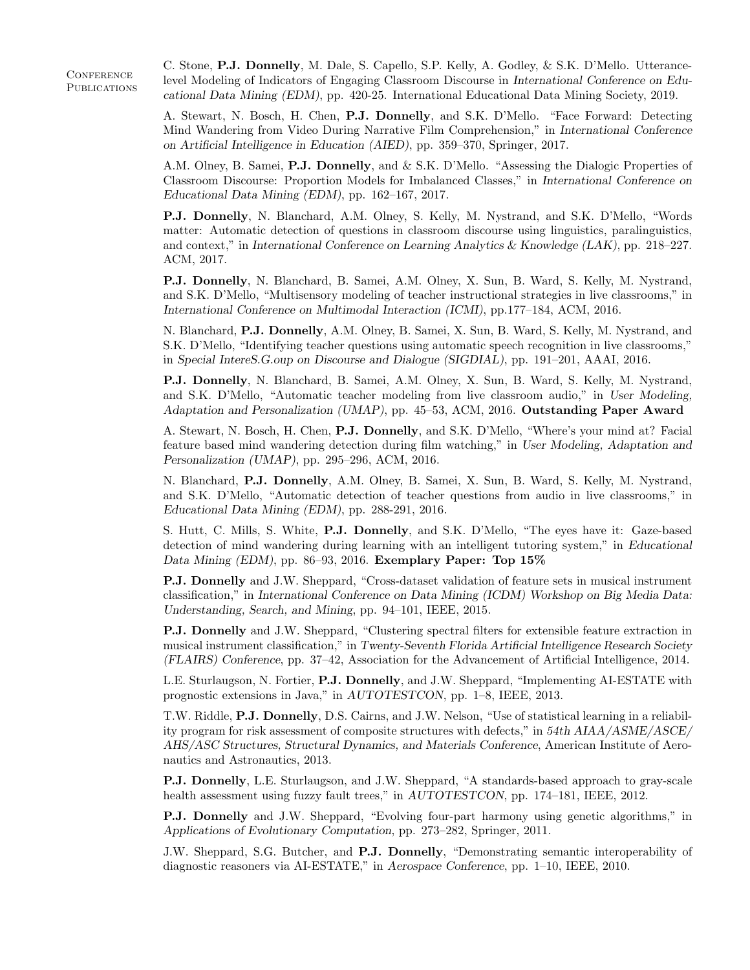**CONFERENCE PUBLICATIONS**  C. Stone, P.J. Donnelly, M. Dale, S. Capello, S.P. Kelly, A. Godley, & S.K. D'Mello. Utterancelevel Modeling of Indicators of Engaging Classroom Discourse in International Conference on Educational Data Mining (EDM), pp. 420-25. International Educational Data Mining Society, 2019.

A. Stewart, N. Bosch, H. Chen, P.J. Donnelly, and S.K. D'Mello. "Face Forward: Detecting Mind Wandering from Video During Narrative Film Comprehension," in International Conference on Artificial Intelligence in Education (AIED), pp. 359–370, Springer, 2017.

A.M. Olney, B. Samei, P.J. Donnelly, and & S.K. D'Mello. "Assessing the Dialogic Properties of Classroom Discourse: Proportion Models for Imbalanced Classes," in International Conference on Educational Data Mining (EDM), pp. 162–167, 2017.

P.J. Donnelly, N. Blanchard, A.M. Olney, S. Kelly, M. Nystrand, and S.K. D'Mello, "Words matter: Automatic detection of questions in classroom discourse using linguistics, paralinguistics, and context," in International Conference on Learning Analytics & Knowledge (LAK), pp. 218–227. ACM, 2017.

P.J. Donnelly, N. Blanchard, B. Samei, A.M. Olney, X. Sun, B. Ward, S. Kelly, M. Nystrand, and S.K. D'Mello, "Multisensory modeling of teacher instructional strategies in live classrooms," in International Conference on Multimodal Interaction (ICMI), pp.177–184, ACM, 2016.

N. Blanchard, P.J. Donnelly, A.M. Olney, B. Samei, X. Sun, B. Ward, S. Kelly, M. Nystrand, and S.K. D'Mello, "Identifying teacher questions using automatic speech recognition in live classrooms," in Special IntereS.G.oup on Discourse and Dialogue (SIGDIAL), pp. 191–201, AAAI, 2016.

P.J. Donnelly, N. Blanchard, B. Samei, A.M. Olney, X. Sun, B. Ward, S. Kelly, M. Nystrand, and S.K. D'Mello, "Automatic teacher modeling from live classroom audio," in User Modeling, Adaptation and Personalization (UMAP), pp. 45–53, ACM, 2016. Outstanding Paper Award

A. Stewart, N. Bosch, H. Chen, P.J. Donnelly, and S.K. D'Mello, "Where's your mind at? Facial feature based mind wandering detection during film watching," in User Modeling, Adaptation and Personalization (UMAP), pp. 295–296, ACM, 2016.

N. Blanchard, P.J. Donnelly, A.M. Olney, B. Samei, X. Sun, B. Ward, S. Kelly, M. Nystrand, and S.K. D'Mello, "Automatic detection of teacher questions from audio in live classrooms," in Educational Data Mining (EDM), pp. 288-291, 2016.

S. Hutt, C. Mills, S. White, P.J. Donnelly, and S.K. D'Mello, "The eyes have it: Gaze-based detection of mind wandering during learning with an intelligent tutoring system," in Educational Data Mining (EDM), pp. 86–93, 2016. Exemplary Paper: Top 15%

P.J. Donnelly and J.W. Sheppard, "Cross-dataset validation of feature sets in musical instrument classification," in International Conference on Data Mining (ICDM) Workshop on Big Media Data: Understanding, Search, and Mining, pp. 94–101, IEEE, 2015.

P.J. Donnelly and J.W. Sheppard, "Clustering spectral filters for extensible feature extraction in musical instrument classification," in Twenty-Seventh Florida Artificial Intelligence Research Society (FLAIRS) Conference, pp. 37–42, Association for the Advancement of Artificial Intelligence, 2014.

L.E. Sturlaugson, N. Fortier, P.J. Donnelly, and J.W. Sheppard, "Implementing AI-ESTATE with prognostic extensions in Java," in AUTOTESTCON, pp. 1–8, IEEE, 2013.

T.W. Riddle, P.J. Donnelly, D.S. Cairns, and J.W. Nelson, "Use of statistical learning in a reliability program for risk assessment of composite structures with defects," in 54th AIAA/ASME/ASCE/ AHS/ASC Structures, Structural Dynamics, and Materials Conference, American Institute of Aeronautics and Astronautics, 2013.

P.J. Donnelly, L.E. Sturlaugson, and J.W. Sheppard, "A standards-based approach to gray-scale health assessment using fuzzy fault trees," in AUTOTESTCON, pp. 174–181, IEEE, 2012.

P.J. Donnelly and J.W. Sheppard, "Evolving four-part harmony using genetic algorithms," in Applications of Evolutionary Computation, pp. 273–282, Springer, 2011.

J.W. Sheppard, S.G. Butcher, and P.J. Donnelly, "Demonstrating semantic interoperability of diagnostic reasoners via AI-ESTATE," in Aerospace Conference, pp. 1–10, IEEE, 2010.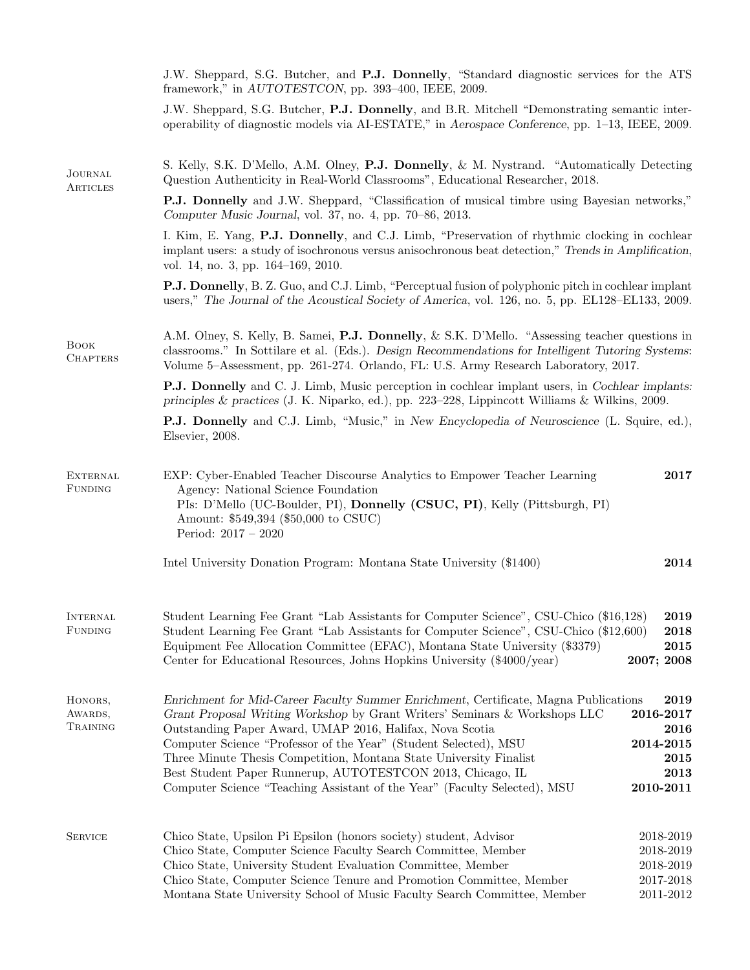|                                   | J.W. Sheppard, S.G. Butcher, and P.J. Donnelly, "Standard diagnostic services for the ATS<br>framework," in AUTOTESTCON, pp. 393-400, IEEE, 2009.                                                                                                                                                                                                                                                                                                                                                                   |                                                                     |  |  |  |
|-----------------------------------|---------------------------------------------------------------------------------------------------------------------------------------------------------------------------------------------------------------------------------------------------------------------------------------------------------------------------------------------------------------------------------------------------------------------------------------------------------------------------------------------------------------------|---------------------------------------------------------------------|--|--|--|
|                                   | J.W. Sheppard, S.G. Butcher, P.J. Donnelly, and B.R. Mitchell "Demonstrating semantic inter-<br>operability of diagnostic models via AI-ESTATE," in Aerospace Conference, pp. 1–13, IEEE, 2009.                                                                                                                                                                                                                                                                                                                     |                                                                     |  |  |  |
| <b>JOURNAL</b><br>ARTICLES        | S. Kelly, S.K. D'Mello, A.M. Olney, P.J. Donnelly, & M. Nystrand. "Automatically Detecting<br>Question Authenticity in Real-World Classrooms", Educational Researcher, 2018.                                                                                                                                                                                                                                                                                                                                        |                                                                     |  |  |  |
|                                   | <b>P.J. Donnelly</b> and J.W. Sheppard, "Classification of musical timbre using Bayesian networks,"<br>Computer Music Journal, vol. 37, no. 4, pp. 70–86, 2013.                                                                                                                                                                                                                                                                                                                                                     |                                                                     |  |  |  |
|                                   | I. Kim, E. Yang, P.J. Donnelly, and C.J. Limb, "Preservation of rhythmic clocking in cochlear<br>implant users: a study of isochronous versus anisochronous beat detection," Trends in Amplification,<br>vol. 14, no. 3, pp. 164-169, 2010.                                                                                                                                                                                                                                                                         |                                                                     |  |  |  |
|                                   | <b>P.J. Donnelly</b> , B. Z. Guo, and C.J. Limb, "Perceptual fusion of polyphonic pitch in cochlear implant<br>users," The Journal of the Acoustical Society of America, vol. 126, no. 5, pp. EL128–EL133, 2009.                                                                                                                                                                                                                                                                                                    |                                                                     |  |  |  |
| <b>BOOK</b><br><b>CHAPTERS</b>    | A.M. Olney, S. Kelly, B. Samei, P.J. Donnelly, & S.K. D'Mello. "Assessing teacher questions in<br>classrooms." In Sottilare et al. (Eds.). Design Recommendations for Intelligent Tutoring Systems:<br>Volume 5–Assessment, pp. 261-274. Orlando, FL: U.S. Army Research Laboratory, 2017.                                                                                                                                                                                                                          |                                                                     |  |  |  |
|                                   | <b>P.J. Donnelly</b> and C. J. Limb, Music perception in cochlear implant users, in Cochlear implants:<br>principles $\&$ practices (J. K. Niparko, ed.), pp. 223–228, Lippincott Williams $\&$ Wilkins, 2009.                                                                                                                                                                                                                                                                                                      |                                                                     |  |  |  |
|                                   | <b>P.J. Donnelly</b> and C.J. Limb, "Music," in New Encyclopedia of Neuroscience (L. Squire, ed.),<br>Elsevier, 2008.                                                                                                                                                                                                                                                                                                                                                                                               |                                                                     |  |  |  |
| <b>EXTERNAL</b><br><b>FUNDING</b> | EXP: Cyber-Enabled Teacher Discourse Analytics to Empower Teacher Learning<br>Agency: National Science Foundation<br>PIs: D'Mello (UC-Boulder, PI), Donnelly (CSUC, PI), Kelly (Pittsburgh, PI)<br>Amount: \$549,394 (\$50,000 to CSUC)<br>Period: $2017 - 2020$                                                                                                                                                                                                                                                    | 2017                                                                |  |  |  |
|                                   | Intel University Donation Program: Montana State University (\$1400)                                                                                                                                                                                                                                                                                                                                                                                                                                                | 2014                                                                |  |  |  |
| <b>INTERNAL</b><br>FUNDING        | Student Learning Fee Grant "Lab Assistants for Computer Science", CSU-Chico (\$16,128)<br>Student Learning Fee Grant "Lab Assistants for Computer Science", CSU-Chico (\$12,600)<br>Equipment Fee Allocation Committee (EFAC), Montana State University (\$3379)<br>Center for Educational Resources, Johns Hopkins University (\$4000/year)                                                                                                                                                                        | 2019<br>2018<br>2015<br>2007; 2008                                  |  |  |  |
| HONORS,<br>AWARDS,<br>TRAINING    | Enrichment for Mid-Career Faculty Summer Enrichment, Certificate, Magna Publications<br>Grant Proposal Writing Workshop by Grant Writers' Seminars & Workshops LLC<br>Outstanding Paper Award, UMAP 2016, Halifax, Nova Scotia<br>Computer Science "Professor of the Year" (Student Selected), MSU<br>Three Minute Thesis Competition, Montana State University Finalist<br>Best Student Paper Runnerup, AUTOTESTCON 2013, Chicago, IL<br>Computer Science "Teaching Assistant of the Year" (Faculty Selected), MSU | 2019<br>2016-2017<br>2016<br>2014-2015<br>2015<br>2013<br>2010-2011 |  |  |  |
| <b>SERVICE</b>                    | Chico State, Upsilon Pi Epsilon (honors society) student, Advisor<br>Chico State, Computer Science Faculty Search Committee, Member<br>Chico State, University Student Evaluation Committee, Member<br>Chico State, Computer Science Tenure and Promotion Committee, Member<br>Montana State University School of Music Faculty Search Committee, Member                                                                                                                                                            | 2018-2019<br>2018-2019<br>2018-2019<br>2017-2018<br>$2011 - 2012$   |  |  |  |